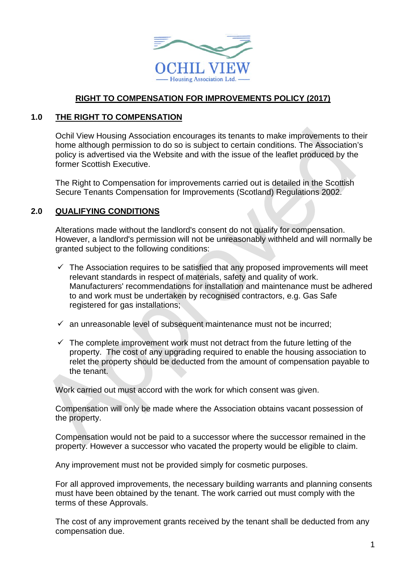

## **RIGHT TO COMPENSATION FOR IMPROVEMENTS POLICY (2017)**

#### **1.0 THE RIGHT TO COMPENSATION**

Ochil View Housing Association encourages its tenants to make improvements to their home although permission to do so is subject to certain conditions. The Association's policy is advertised via the Website and with the issue of the leaflet produced by the former Scottish Executive.

The Right to Compensation for improvements carried out is detailed in the Scottish Secure Tenants Compensation for Improvements (Scotland) Regulations 2002.

#### **2.0 QUALIFYING CONDITIONS**

Alterations made without the landlord's consent do not qualify for compensation. However, a landlord's permission will not be unreasonably withheld and will normally be granted subject to the following conditions:

- $\checkmark$  The Association requires to be satisfied that any proposed improvements will meet relevant standards in respect of materials, safety and quality of work. Manufacturers' recommendations for installation and maintenance must be adhered to and work must be undertaken by recognised contractors, e.g. Gas Safe registered for gas installations;
- $\checkmark$  an unreasonable level of subsequent maintenance must not be incurred;
- $\checkmark$  The complete improvement work must not detract from the future letting of the property. The cost of any upgrading required to enable the housing association to relet the property should be deducted from the amount of compensation payable to the tenant.

Work carried out must accord with the work for which consent was given.

Compensation will only be made where the Association obtains vacant possession of the property.

Compensation would not be paid to a successor where the successor remained in the property. However a successor who vacated the property would be eligible to claim.

Any improvement must not be provided simply for cosmetic purposes.

For all approved improvements, the necessary building warrants and planning consents must have been obtained by the tenant. The work carried out must comply with the terms of these Approvals.

The cost of any improvement grants received by the tenant shall be deducted from any compensation due.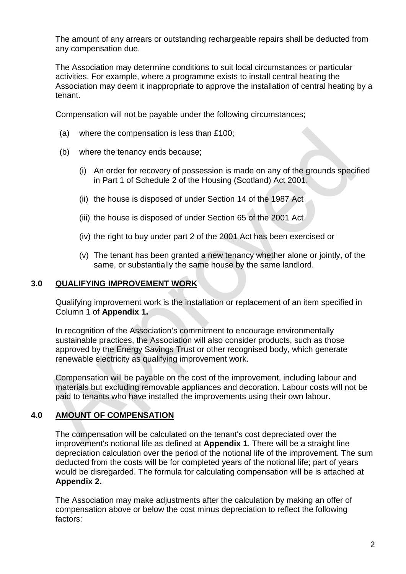The amount of any arrears or outstanding rechargeable repairs shall be deducted from any compensation due.

The Association may determine conditions to suit local circumstances or particular activities. For example, where a programme exists to install central heating the Association may deem it inappropriate to approve the installation of central heating by a tenant.

Compensation will not be payable under the following circumstances;

- (a) where the compensation is less than £100;
- (b) where the tenancy ends because;
	- (i) An order for recovery of possession is made on any of the grounds specified in Part 1 of Schedule 2 of the Housing (Scotland) Act 2001.
	- (ii) the house is disposed of under Section 14 of the 1987 Act
	- (iii) the house is disposed of under Section 65 of the 2001 Act
	- (iv) the right to buy under part 2 of the 2001 Act has been exercised or
	- (v) The tenant has been granted a new tenancy whether alone or jointly, of the same, or substantially the same house by the same landlord.

#### **3.0 QUALIFYING IMPROVEMENT WORK**

Qualifying improvement work is the installation or replacement of an item specified in Column 1 of **Appendix 1.**

In recognition of the Association's commitment to encourage environmentally sustainable practices, the Association will also consider products, such as those approved by the Energy Savings Trust or other recognised body, which generate renewable electricity as qualifying improvement work.

Compensation will be payable on the cost of the improvement, including labour and materials but excluding removable appliances and decoration. Labour costs will not be paid to tenants who have installed the improvements using their own labour.

## **4.0 AMOUNT OF COMPENSATION**

The compensation will be calculated on the tenant's cost depreciated over the improvement's notional life as defined at **Appendix 1**. There will be a straight line depreciation calculation over the period of the notional life of the improvement. The sum deducted from the costs will be for completed years of the notional life; part of years would be disregarded. The formula for calculating compensation will be is attached at **Appendix 2.**

The Association may make adjustments after the calculation by making an offer of compensation above or below the cost minus depreciation to reflect the following factors: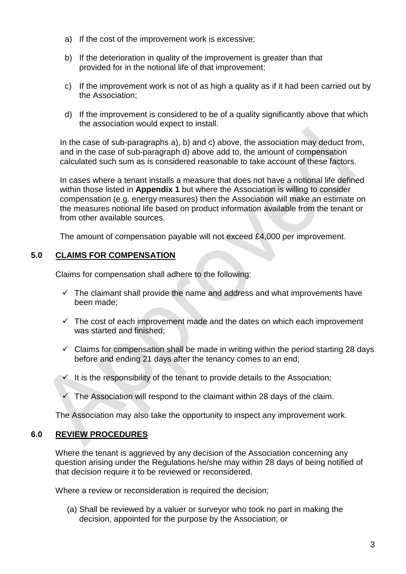- a) If the cost of the improvement work is excessive;
- b) If the deterioration in quality of the improvement is greater than that provided for in the notional life of that improvement;
- c) If the improvement work is not of as high a quality as if it had been carried out by the Association;
- d) If the improvement is considered to be of a quality significantly above that which the association would expect to install.

In the case of sub-paragraphs a), b) and c) above, the association may deduct from, and in the case of sub-paragraph d) above add to, the amount of compensation calculated such sum as is considered reasonable to take account of these factors.

In cases where a tenant installs a measure that does not have a notional life defined within those listed in **Appendix 1** but where the Association is willing to consider compensation (e.g. energy measures) then the Association will make an estimate on the measures notional life based on product information available from the tenant or from other available sources.

The amount of compensation payable will not exceed £4,000 per improvement.

# **5.0 CLAIMS FOR COMPENSATION**

Claims for compensation shall adhere to the following:

- $\checkmark$  The claimant shall provide the name and address and what improvements have been made;
- $\checkmark$  The cost of each improvement made and the dates on which each improvement was started and finished;
- $\checkmark$  Claims for compensation shall be made in writing within the period starting 28 days before and ending 21 days after the tenancy comes to an end;
- $\checkmark$  It is the responsibility of the tenant to provide details to the Association;
- $\checkmark$  The Association will respond to the claimant within 28 days of the claim.

The Association may also take the opportunity to inspect any improvement work.

## **6.0 REVIEW PROCEDURES**

Where the tenant is aggrieved by any decision of the Association concerning any question arising under the Regulations he/she may within 28 days of being notified of that decision require it to be reviewed or reconsidered.

Where a review or reconsideration is required the decision:

(a) Shall be reviewed by a valuer or surveyor who took no part in making the decision, appointed for the purpose by the Association; or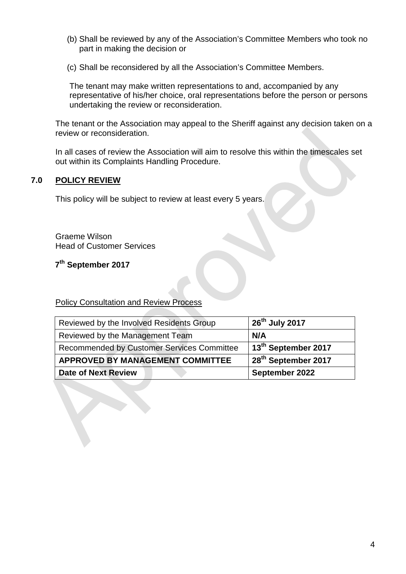- (b) Shall be reviewed by any of the Association's Committee Members who took no part in making the decision or
- (c) Shall be reconsidered by all the Association's Committee Members.

The tenant may make written representations to and, accompanied by any representative of his/her choice, oral representations before the person or persons undertaking the review or reconsideration.

The tenant or the Association may appeal to the Sheriff against any decision taken on a review or reconsideration.

In all cases of review the Association will aim to resolve this within the timescales set out within its Complaints Handling Procedure.

## **7.0 POLICY REVIEW**

This policy will be subject to review at least every 5 years.

Graeme Wilson Head of Customer Services

**7th September 2017**

#### Policy Consultation and Review Process

| Reviewed by the Involved Residents Group   | $26th$ July 2017                |
|--------------------------------------------|---------------------------------|
| Reviewed by the Management Team            | N/A                             |
| Recommended by Customer Services Committee | 13 <sup>th</sup> September 2017 |
| <b>APPROVED BY MANAGEMENT COMMITTEE</b>    | 28 <sup>th</sup> September 2017 |
| <b>Date of Next Review</b>                 | September 2022                  |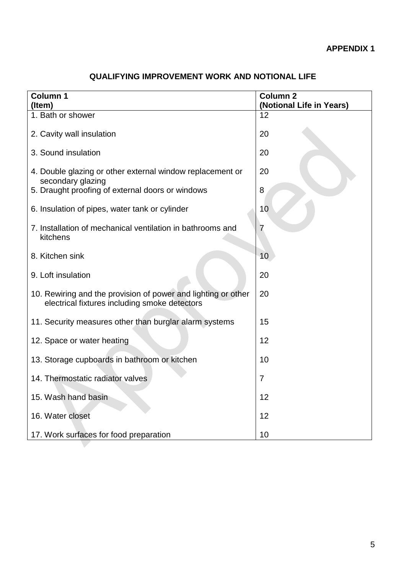| <b>Column 1</b><br>(Item)                                                                                      | <b>Column 2</b><br>(Notional Life in Years) |
|----------------------------------------------------------------------------------------------------------------|---------------------------------------------|
| 1. Bath or shower                                                                                              | 12                                          |
| 2. Cavity wall insulation                                                                                      | 20                                          |
| 3. Sound insulation                                                                                            | 20                                          |
| 4. Double glazing or other external window replacement or<br>secondary glazing                                 | 20                                          |
| 5. Draught proofing of external doors or windows                                                               | 8                                           |
| 6. Insulation of pipes, water tank or cylinder                                                                 | 10                                          |
| 7. Installation of mechanical ventilation in bathrooms and<br>kitchens                                         | 7                                           |
| 8. Kitchen sink                                                                                                | 10                                          |
| 9. Loft insulation                                                                                             | 20                                          |
| 10. Rewiring and the provision of power and lighting or other<br>electrical fixtures including smoke detectors | 20                                          |
| 11. Security measures other than burglar alarm systems                                                         | 15                                          |
| 12. Space or water heating                                                                                     | 12                                          |
| 13. Storage cupboards in bathroom or kitchen                                                                   | 10                                          |
| 14. Thermostatic radiator valves                                                                               | $\overline{7}$                              |
| 15. Wash hand basin                                                                                            | 12                                          |
| 16. Water closet                                                                                               | 12                                          |
| 17. Work surfaces for food preparation                                                                         | 10                                          |

# **QUALIFYING IMPROVEMENT WORK AND NOTIONAL LIFE**